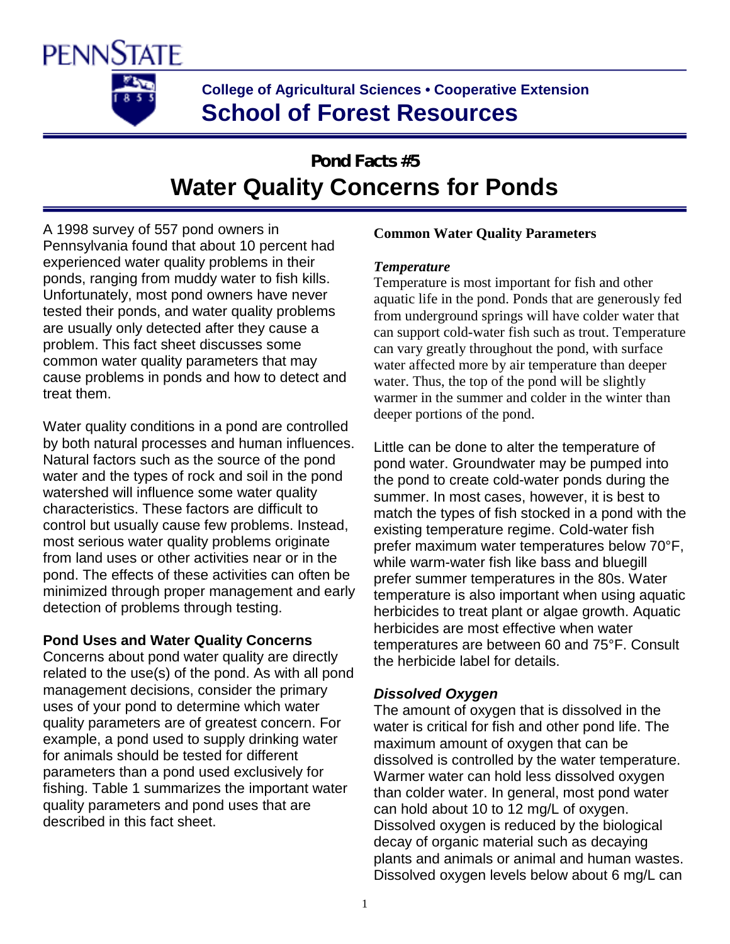

## **College of Agricultural Sciences • Cooperative Extension School of Forest Resources**

# **Pond Facts #5 Water Quality Concerns for Ponds**

A 1998 survey of 557 pond owners in Pennsylvania found that about 10 percent had experienced water quality problems in their ponds, ranging from muddy water to fish kills. Unfortunately, most pond owners have never tested their ponds, and water quality problems are usually only detected after they cause a problem. This fact sheet discusses some common water quality parameters that may cause problems in ponds and how to detect and treat them.

Water quality conditions in a pond are controlled by both natural processes and human influences. Natural factors such as the source of the pond water and the types of rock and soil in the pond watershed will influence some water quality characteristics. These factors are difficult to control but usually cause few problems. Instead, most serious water quality problems originate from land uses or other activities near or in the pond. The effects of these activities can often be minimized through proper management and early detection of problems through testing.

#### **Pond Uses and Water Quality Concerns**

Concerns about pond water quality are directly related to the use(s) of the pond. As with all pond management decisions, consider the primary uses of your pond to determine which water quality parameters are of greatest concern. For example, a pond used to supply drinking water for animals should be tested for different parameters than a pond used exclusively for fishing. Table 1 summarizes the important water quality parameters and pond uses that are described in this fact sheet.

#### **Common Water Quality Parameters**

#### *Temperature*

Temperature is most important for fish and other aquatic life in the pond. Ponds that are generously fed from underground springs will have colder water that can support cold-water fish such as trout. Temperature can vary greatly throughout the pond, with surface water affected more by air temperature than deeper water. Thus, the top of the pond will be slightly warmer in the summer and colder in the winter than deeper portions of the pond.

Little can be done to alter the temperature of pond water. Groundwater may be pumped into the pond to create cold-water ponds during the summer. In most cases, however, it is best to match the types of fish stocked in a pond with the existing temperature regime. Cold-water fish prefer maximum water temperatures below 70°F, while warm-water fish like bass and bluegill prefer summer temperatures in the 80s. Water temperature is also important when using aquatic herbicides to treat plant or algae growth. Aquatic herbicides are most effective when water temperatures are between 60 and 75°F. Consult the herbicide label for details.

#### *Dissolved Oxygen*

The amount of oxygen that is dissolved in the water is critical for fish and other pond life. The maximum amount of oxygen that can be dissolved is controlled by the water temperature. Warmer water can hold less dissolved oxygen than colder water. In general, most pond water can hold about 10 to 12 mg/L of oxygen. Dissolved oxygen is reduced by the biological decay of organic material such as decaying plants and animals or animal and human wastes. Dissolved oxygen levels below about 6 mg/L can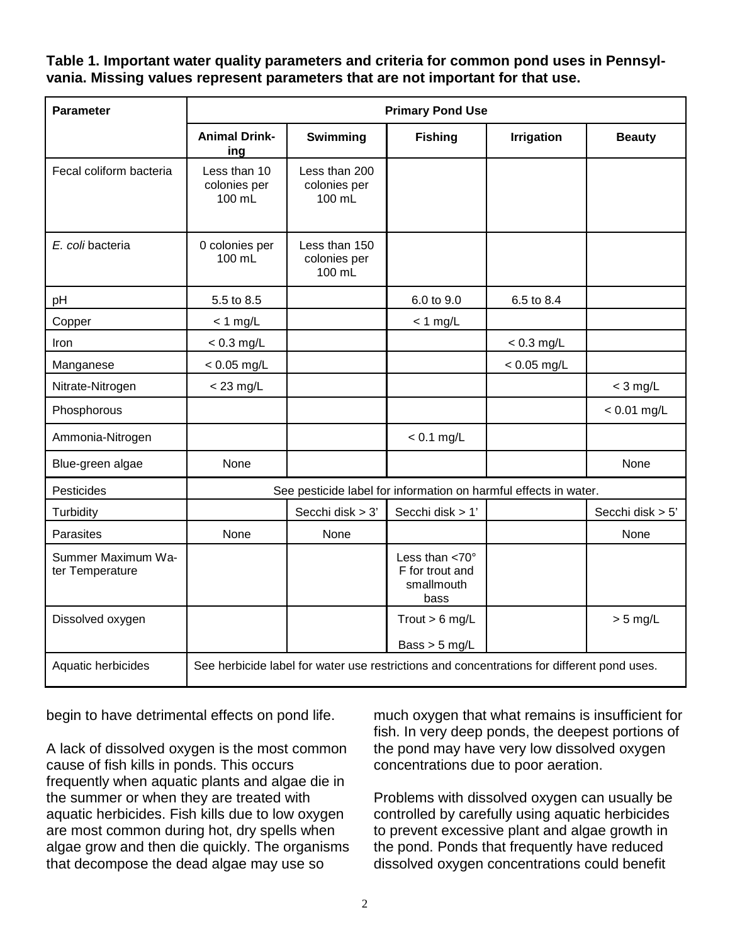#### **Table 1. Important water quality parameters and criteria for common pond uses in Pennsylvania. Missing values represent parameters that are not important for that use.**

| <b>Parameter</b>                      | <b>Primary Pond Use</b>                                                                    |                                         |                                                                      |                   |                  |
|---------------------------------------|--------------------------------------------------------------------------------------------|-----------------------------------------|----------------------------------------------------------------------|-------------------|------------------|
|                                       | <b>Animal Drink-</b><br>ing                                                                | Swimming                                | <b>Fishing</b>                                                       | <b>Irrigation</b> | <b>Beauty</b>    |
| Fecal coliform bacteria               | Less than 10<br>colonies per<br>100 mL                                                     | Less than 200<br>colonies per<br>100 mL |                                                                      |                   |                  |
| E. coli bacteria                      | 0 colonies per<br>100 mL                                                                   | Less than 150<br>colonies per<br>100 mL |                                                                      |                   |                  |
| pH                                    | 5.5 to 8.5                                                                                 |                                         | 6.0 to 9.0                                                           | 6.5 to 8.4        |                  |
| Copper                                | $<$ 1 mg/L                                                                                 |                                         | $<$ 1 mg/L                                                           |                   |                  |
| Iron                                  | $< 0.3$ mg/L                                                                               |                                         |                                                                      | $< 0.3$ mg/L      |                  |
| Manganese                             | $< 0.05$ mg/L                                                                              |                                         |                                                                      | $< 0.05$ mg/L     |                  |
| Nitrate-Nitrogen                      | $<$ 23 mg/L                                                                                |                                         |                                                                      |                   | $<$ 3 mg/L       |
| Phosphorous                           |                                                                                            |                                         |                                                                      |                   | $< 0.01$ mg/L    |
| Ammonia-Nitrogen                      |                                                                                            |                                         | $< 0.1$ mg/L                                                         |                   |                  |
| Blue-green algae                      | None                                                                                       |                                         |                                                                      |                   | None             |
| Pesticides                            | See pesticide label for information on harmful effects in water.                           |                                         |                                                                      |                   |                  |
| Turbidity                             |                                                                                            | Secchi disk > 3'                        | Secchi disk > 1'                                                     |                   | Secchi disk > 5' |
| Parasites                             | None                                                                                       | None                                    |                                                                      |                   | None             |
| Summer Maximum Wa-<br>ter Temperature |                                                                                            |                                         | Less than $<$ 70 $^{\circ}$<br>F for trout and<br>smallmouth<br>bass |                   |                  |
| Dissolved oxygen                      |                                                                                            |                                         | Trout $> 6$ mg/L<br>Bass $>$ 5 mg/L                                  |                   | $> 5$ mg/L       |
| Aquatic herbicides                    | See herbicide label for water use restrictions and concentrations for different pond uses. |                                         |                                                                      |                   |                  |

begin to have detrimental effects on pond life.

A lack of dissolved oxygen is the most common cause of fish kills in ponds. This occurs frequently when aquatic plants and algae die in the summer or when they are treated with aquatic herbicides. Fish kills due to low oxygen are most common during hot, dry spells when algae grow and then die quickly. The organisms that decompose the dead algae may use so

much oxygen that what remains is insufficient for fish. In very deep ponds, the deepest portions of the pond may have very low dissolved oxygen concentrations due to poor aeration.

Problems with dissolved oxygen can usually be controlled by carefully using aquatic herbicides to prevent excessive plant and algae growth in the pond. Ponds that frequently have reduced dissolved oxygen concentrations could benefit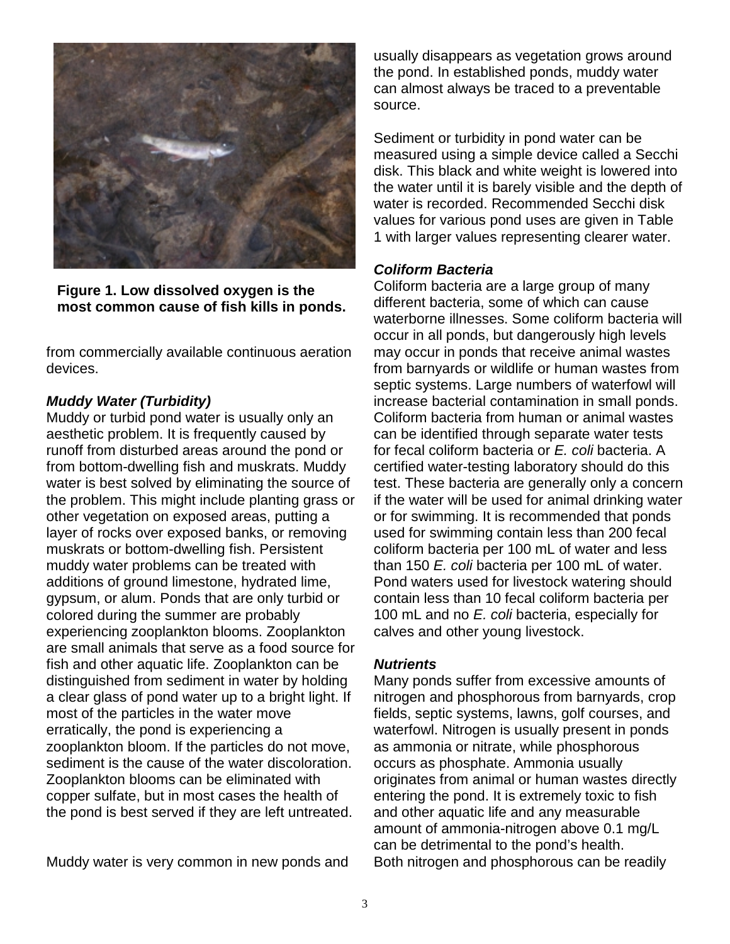

**Figure 1. Low dissolved oxygen is the most common cause of fish kills in ponds.** 

from commercially available continuous aeration devices.

#### *Muddy Water (Turbidity)*

Muddy or turbid pond water is usually only an aesthetic problem. It is frequently caused by runoff from disturbed areas around the pond or from bottom-dwelling fish and muskrats. Muddy water is best solved by eliminating the source of the problem. This might include planting grass or other vegetation on exposed areas, putting a layer of rocks over exposed banks, or removing muskrats or bottom-dwelling fish. Persistent muddy water problems can be treated with additions of ground limestone, hydrated lime, gypsum, or alum. Ponds that are only turbid or colored during the summer are probably experiencing zooplankton blooms. Zooplankton are small animals that serve as a food source for fish and other aquatic life. Zooplankton can be distinguished from sediment in water by holding a clear glass of pond water up to a bright light. If most of the particles in the water move erratically, the pond is experiencing a zooplankton bloom. If the particles do not move, sediment is the cause of the water discoloration. Zooplankton blooms can be eliminated with copper sulfate, but in most cases the health of the pond is best served if they are left untreated.

Muddy water is very common in new ponds and

usually disappears as vegetation grows around the pond. In established ponds, muddy water can almost always be traced to a preventable source.

Sediment or turbidity in pond water can be measured using a simple device called a Secchi disk. This black and white weight is lowered into the water until it is barely visible and the depth of water is recorded. Recommended Secchi disk values for various pond uses are given in Table 1 with larger values representing clearer water.

#### *Coliform Bacteria*

Coliform bacteria are a large group of many different bacteria, some of which can cause waterborne illnesses. Some coliform bacteria will occur in all ponds, but dangerously high levels may occur in ponds that receive animal wastes from barnyards or wildlife or human wastes from septic systems. Large numbers of waterfowl will increase bacterial contamination in small ponds. Coliform bacteria from human or animal wastes can be identified through separate water tests for fecal coliform bacteria or *E. coli* bacteria. A certified water-testing laboratory should do this test. These bacteria are generally only a concern if the water will be used for animal drinking water or for swimming. It is recommended that ponds used for swimming contain less than 200 fecal coliform bacteria per 100 mL of water and less than 150 *E. coli* bacteria per 100 mL of water. Pond waters used for livestock watering should contain less than 10 fecal coliform bacteria per 100 mL and no *E. coli* bacteria, especially for calves and other young livestock.

#### *Nutrients*

Many ponds suffer from excessive amounts of nitrogen and phosphorous from barnyards, crop fields, septic systems, lawns, golf courses, and waterfowl. Nitrogen is usually present in ponds as ammonia or nitrate, while phosphorous occurs as phosphate. Ammonia usually originates from animal or human wastes directly entering the pond. It is extremely toxic to fish and other aquatic life and any measurable amount of ammonia-nitrogen above 0.1 mg/L can be detrimental to the pond's health. Both nitrogen and phosphorous can be readily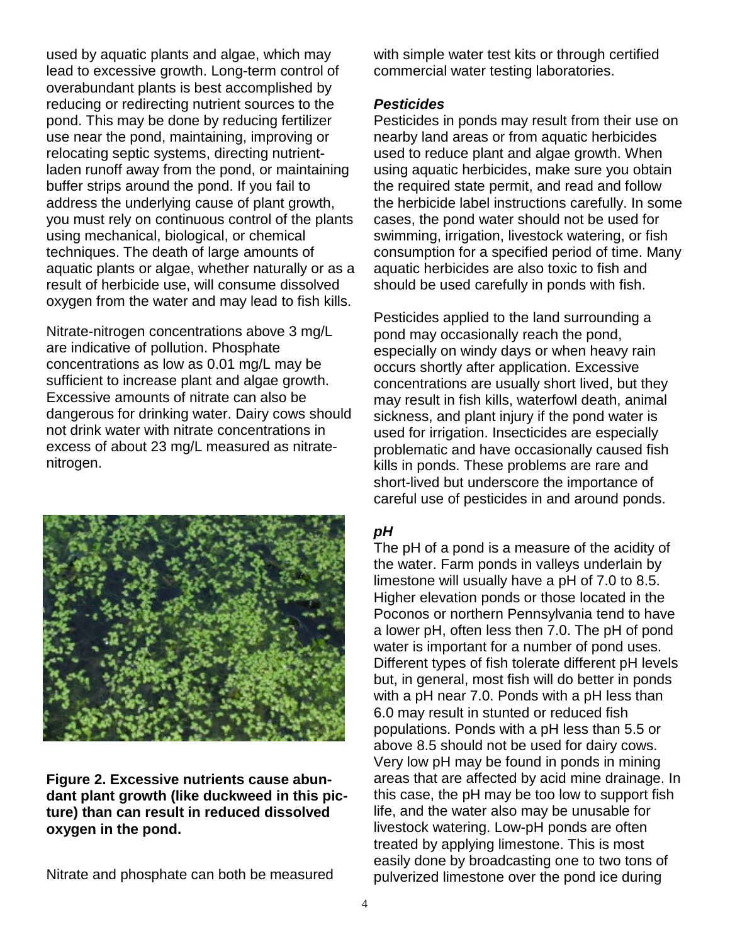used by aquatic plants and algae, which may lead to excessive growth. Long-term control of overabundant plants is best accomplished by reducing or redirecting nutrient sources to the pond. This may be done by reducing fertilizer use near the pond, maintaining, improving or relocating septic systems, directing nutrientladen runoff away from the pond, or maintaining buffer strips around the pond. If you fail to address the underlying cause of plant growth, you must rely on continuous control of the plants using mechanical, biological, or chemical techniques. The death of large amounts of aquatic plants or algae, whether naturally or as a result of herbicide use, will consume dissolved oxygen from the water and may lead to fish kills.

Nitrate-nitrogen concentrations above 3 mg/L are indicative of pollution. Phosphate concentrations as low as 0.01 mg/L may be sufficient to increase plant and algae growth. Excessive amounts of nitrate can also be dangerous for drinking water. Dairy cows should not drink water with nitrate concentrations in excess of about 23 mg/L measured as nitratenitrogen.



**Figure 2. Excessive nutrients cause abundant plant growth (like duckweed in this picture) than can result in reduced dissolved oxygen in the pond.**

Nitrate and phosphate can both be measured

with simple water test kits or through certified commercial water testing laboratories.

#### *Pesticides*

Pesticides in ponds may result from their use on nearby land areas or from aquatic herbicides used to reduce plant and algae growth. When using aquatic herbicides, make sure you obtain the required state permit, and read and follow the herbicide label instructions carefully. In some cases, the pond water should not be used for swimming, irrigation, livestock watering, or fish consumption for a specified period of time. Many aquatic herbicides are also toxic to fish and should be used carefully in ponds with fish.

Pesticides applied to the land surrounding a pond may occasionally reach the pond, especially on windy days or when heavy rain occurs shortly after application. Excessive concentrations are usually short lived, but they may result in fish kills, waterfowl death, animal sickness, and plant injury if the pond water is used for irrigation. Insecticides are especially problematic and have occasionally caused fish kills in ponds. These problems are rare and short-lived but underscore the importance of careful use of pesticides in and around ponds.

### *pH*

The pH of a pond is a measure of the acidity of the water. Farm ponds in valleys underlain by limestone will usually have a pH of 7.0 to 8.5. Higher elevation ponds or those located in the Poconos or northern Pennsylvania tend to have a lower pH, often less then 7.0. The pH of pond water is important for a number of pond uses. Different types of fish tolerate different pH levels but, in general, most fish will do better in ponds with a pH near 7.0. Ponds with a pH less than 6.0 may result in stunted or reduced fish populations. Ponds with a pH less than 5.5 or above 8.5 should not be used for dairy cows. Very low pH may be found in ponds in mining areas that are affected by acid mine drainage. In this case, the pH may be too low to support fish life, and the water also may be unusable for livestock watering. Low-pH ponds are often treated by applying limestone. This is most easily done by broadcasting one to two tons of pulverized limestone over the pond ice during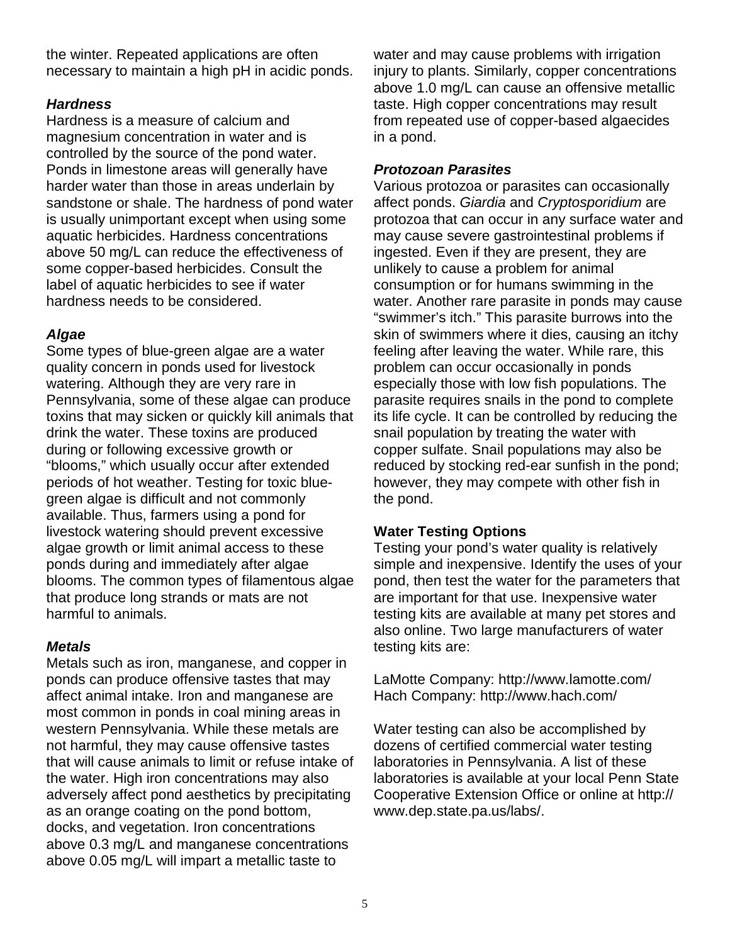the winter. Repeated applications are often necessary to maintain a high pH in acidic ponds.

#### *Hardness*

Hardness is a measure of calcium and magnesium concentration in water and is controlled by the source of the pond water. Ponds in limestone areas will generally have harder water than those in areas underlain by sandstone or shale. The hardness of pond water is usually unimportant except when using some aquatic herbicides. Hardness concentrations above 50 mg/L can reduce the effectiveness of some copper-based herbicides. Consult the label of aquatic herbicides to see if water hardness needs to be considered.

#### *Algae*

Some types of blue-green algae are a water quality concern in ponds used for livestock watering. Although they are very rare in Pennsylvania, some of these algae can produce toxins that may sicken or quickly kill animals that drink the water. These toxins are produced during or following excessive growth or "blooms," which usually occur after extended periods of hot weather. Testing for toxic bluegreen algae is difficult and not commonly available. Thus, farmers using a pond for livestock watering should prevent excessive algae growth or limit animal access to these ponds during and immediately after algae blooms. The common types of filamentous algae that produce long strands or mats are not harmful to animals.

#### *Metals*

Metals such as iron, manganese, and copper in ponds can produce offensive tastes that may affect animal intake. Iron and manganese are most common in ponds in coal mining areas in western Pennsylvania. While these metals are not harmful, they may cause offensive tastes that will cause animals to limit or refuse intake of the water. High iron concentrations may also adversely affect pond aesthetics by precipitating as an orange coating on the pond bottom, docks, and vegetation. Iron concentrations above 0.3 mg/L and manganese concentrations above 0.05 mg/L will impart a metallic taste to

water and may cause problems with irrigation injury to plants. Similarly, copper concentrations above 1.0 mg/L can cause an offensive metallic taste. High copper concentrations may result from repeated use of copper-based algaecides in a pond.

#### *Protozoan Parasites*

Various protozoa or parasites can occasionally affect ponds. *Giardia* and *Cryptosporidium* are protozoa that can occur in any surface water and may cause severe gastrointestinal problems if ingested. Even if they are present, they are unlikely to cause a problem for animal consumption or for humans swimming in the water. Another rare parasite in ponds may cause "swimmer's itch." This parasite burrows into the skin of swimmers where it dies, causing an itchy feeling after leaving the water. While rare, this problem can occur occasionally in ponds especially those with low fish populations. The parasite requires snails in the pond to complete its life cycle. It can be controlled by reducing the snail population by treating the water with copper sulfate. Snail populations may also be reduced by stocking red-ear sunfish in the pond; however, they may compete with other fish in the pond.

#### **Water Testing Options**

Testing your pond's water quality is relatively simple and inexpensive. Identify the uses of your pond, then test the water for the parameters that are important for that use. Inexpensive water testing kits are available at many pet stores and also online. Two large manufacturers of water testing kits are:

LaMotte Company: http://www.lamotte.com/ Hach Company: http://www.hach.com/

Water testing can also be accomplished by dozens of certified commercial water testing laboratories in Pennsylvania. A list of these laboratories is available at your local Penn State Cooperative Extension Office or online at http:// www.dep.state.pa.us/labs/.